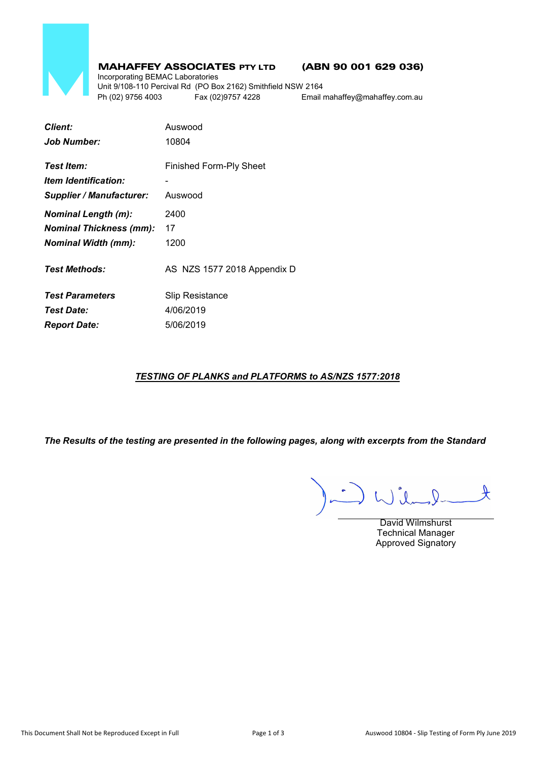

# MAHAFFEY ASSOCIATES PTY LTD (ABN 90 001 629 036)

Incorporating BEMAC Laboratories Unit 9/108-110 Percival Rd (PO Box 2162) Smithfield NSW 2164 Ph (02) 9756 4003 Fax (02)9757 4228 Email mahaffey@mahaffey.com.au

| <b>Client:</b>                            | Auswood                     |  |  |
|-------------------------------------------|-----------------------------|--|--|
| <b>Job Number:</b>                        | 10804                       |  |  |
| Test Item:                                | Finished Form-Ply Sheet     |  |  |
| <i><u><b>Item Identification:</b></u></i> |                             |  |  |
| <b>Supplier / Manufacturer:</b>           | Auswood                     |  |  |
| <b>Nominal Length (m):</b>                | 2400                        |  |  |
| <b>Nominal Thickness (mm):</b>            | 17                          |  |  |
| <b>Nominal Width (mm):</b>                | 1200                        |  |  |
| <b>Test Methods:</b>                      | AS NZS 1577 2018 Appendix D |  |  |
| <b>Test Parameters</b>                    | Slip Resistance             |  |  |
| <b>Test Date:</b>                         | 4/06/2019                   |  |  |
| <b>Report Date:</b>                       | 5/06/2019                   |  |  |

# *TESTING OF PLANKS and PLATFORMS to AS/NZS 1577:2018*

*The Results of the testing are presented in the following pages, along with excerpts from the Standard*

 $\mathcal{A}$  $\therefore$ 

David Wilmshurst Technical Manager Approved Signatory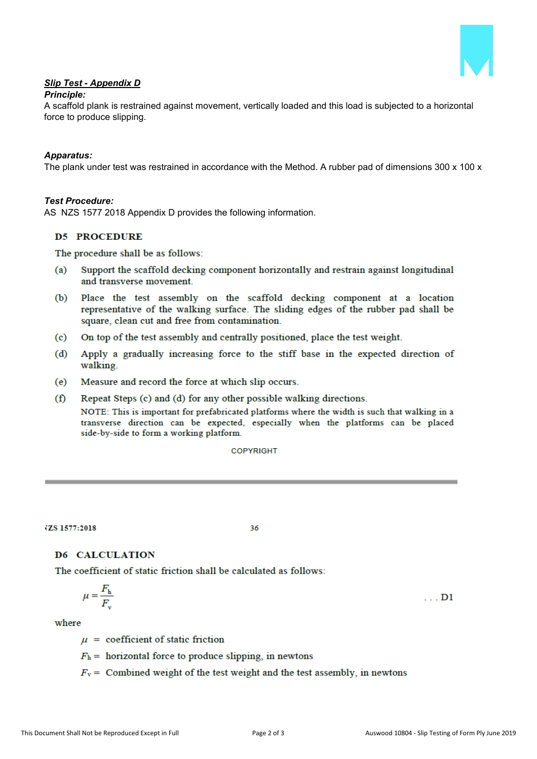

# *Slip Test - Appendix D*

## *Principle:*

A scaffold plank is restrained against movement, vertically loaded and this load is subjected to a horizontal force to produce slipping.

### *Apparatus:*

The plank under test was restrained in accordance with the Method. A rubber pad of dimensions 300 x 100 x

## *Test Procedure:*

AS NZS 1577 2018 Appendix D provides the following information.

# **D5 PROCEDURE**

The procedure shall be as follows:

- $(a)$ Support the scaffold decking component horizontally and restrain against longitudinal and transverse movement.
- Place the test assembly on the scaffold decking component at a location  $(b)$ representative of the walking surface. The sliding edges of the rubber pad shall be square, clean cut and free from contamination.
- $\left( \text{c} \right)$ On top of the test assembly and centrally positioned, place the test weight.
- Apply a gradually increasing force to the stiff base in the expected direction of  $(d)$ walking.
- $(e)$ Measure and record the force at which slip occurs.
- $(f)$ Repeat Steps (c) and (d) for any other possible walking directions.

NOTE: This is important for prefabricated platforms where the width is such that walking in a transverse direction can be expected, especially when the platforms can be placed side-by-side to form a working platform.

**COPYRIGHT** 

**IZS 1577:2018** 

36

## **D6 CALCULATION**

The coefficient of static friction shall be calculated as follows:

$$
\mu = \frac{F_{\rm h}}{F_{\rm v}} \tag{D1}
$$

#### where

 $\mu$  = coefficient of static friction

 $F_h$  = horizontal force to produce slipping, in newtons

 $F_v$  = Combined weight of the test weight and the test assembly, in newtons